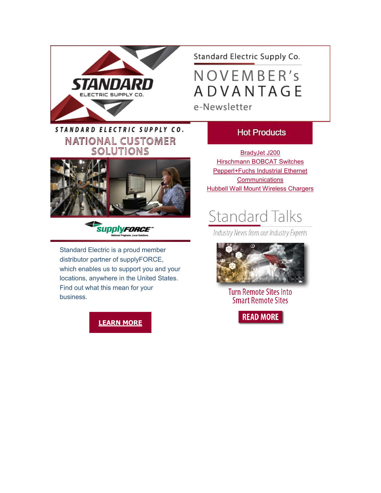

Standard Electric Supply Co.

NOVEMBER's **ADVANTAGE** e-Newsletter

## STANDARD ELECTRIC SUPPLY CO. NATIONAL CUSTOMER SOLUTIONS





Standard Electric is a proud member distributor partner of supplyFORCE, which enables us to support you and your locations, anywhere in the United States. Find out what this mean for your business.

### **[LEARN MORE](https://info.standardelectricsupply.com/e2t/c/*W87pdsv2YgM26W9dp5CL5Xq45W0/*W2LcGqP5BDyWMVfM_Nq6lY8WX0/5/f18dQhb0S1Wd1Qg2mrMVSY-fF2zqtW2pJTNz1X8xRQW6L34fw7G9KF0W1cvQ7T7N7wz-W7v2H647zgYKbW7RG9jb4PdJ6mVF3DjK3gqKkkVBCK-28hgNcTW915_Wl6Cg07YW87nrS542STgJW88vVHp2LdZpGW6j8RCq4yYtPtW5BwgcL5mb-b5W4MxWH86rpH-wN23zf70xGX31W5klJQD4LxkXBW2qgV8n3yx38SW7sVllT6Dw1wGW5XVhVR8k_qltW2cz7514hq2T4W2L0m9r6Z95VYN3xNWRt4_1PsN7Fz5z-jVjpBW20tMwD2tydzBN7s65THk-KTpW3gXHF16tD9yjVvKJDD8j3PL0W5QqpTZ3Mq8jMW1BgRLw3MQP5RW1-lLnN4kZD_-W2S6sxt5WTnm5W2V1gk_6TT18XW7Zw4t51YykZPVR5fsb3c4RlKVPkLxk4gFjBmW7HdcK040xmbgW5sN00_991XJyW7-5TlP1GHBnrW7RzyCB7b1sdhVDGW2Q1QRs6GW22tHMX6Y3g1LW4zBkrb3Z1HjgW8Vnb103jb8cxW85wR5M979rBBW3vGf1Q99D9ybVYGXNp7_67vrf6LCh2902)**

### **Hot Products**

[BradyJet J200](https://info.standardelectricsupply.com/e2t/c/*W87pdsv2YgM26W9dp5CL5Xq45W0/*W6B-YS13RLlBfVwY8Bg2tznVT0/5/f18dQhb0S83f9dsQmYN92F23YHbqG6W1yfnKS1PTQFtW7nV4hL1vkZ1yW2WtZsB7JXhCNW1ydqyN7GYQ8XW7FrpdV549JQgW1Dq0gs7vpFwtVJp5Cq54WckcVsp1RT5nDMLCW5p26-r5rpgg8W5mBL-M1bRKd_W6Vn4Kk5_TVzsW89jf0f61ZkmfW7l5vJl6px_CNW6-gPgc2gNHF3W19wZTJ7zCxtkW7ryWQ63cLyGRW5KxXB65KDCtZW12tL7f5B52gKW1gc9Cg5lN3j7W1B8ZXh3FcM2bW2HT8mr6lt0TjW2z_scn6x2RKSW5-lMJc5tkYHNW2YlwFP3VK2sgW48fR0l2-C1QxW5k0Ybx6fWDl1W3MkpD14v8l2wW41J9lC3KKjhbW3NQc212m8JhNW4ryZl-47QMZcW4pz8lW4GRwDsW2Zj-7d3S_CJPW5369jy4cFbySW4mXD9Z3z7WsvW6v1K6R6QFrjZW5J9MkN2J9G4sW4GDnNt312hGPV3pPQn2zP36gVrX3l16VzF9TW1ybp6k2Jlk1hW5CQ-My7DN0LcW7FNXSt3ncT5FW333Yjx5R34klW1ny5pj48frHKW75ZY6r207pGqW24cJRS7fJ1hNW6qJ0d622tZZgW2TB1W_4Q-5SVW4HzlX_102GLG111) [Hirschmann BOBCAT Switches](https://info.standardelectricsupply.com/e2t/c/*W87pdsv2YgM26W9dp5CL5Xq45W0/*W6C5Kjt5M433-W8vyv2g98y9xJ0/5/f18dQhb0S41b2p44bJW11hNzt54wgDcW4N0Wb-1fYhc-W6x4p3S3jg9S-W514vCk7Swx3WW5xKLpd89JVNXW6znzb565kZmXW2nTvDv1b7FymN3sYqQ78pjqxW8NPCgk8xnK3vVbL1QC6Srw9yW7dB65-4YLxr5W2KQtV-4lVnbtW8fkF-W5zvTmWVRb4DD8gnPWkW3VtqY01-v3GsW8B6KK27gNfspW1ddRth38yWprTqhlw24JpSzW5_SmPx8558nTW71115x4YJP8ZW2pwPH24RfC8cW1V-Q-B41SpTbW5mrSNp6N88jpW1fmf2v6GvSktW2Xd86j2812ltW2b3jmz75Xj51W2K1jnB4Vp3hRW96nBs64HZGWbVvpXfs7-kK38W3Fd5xY68L6tGW8FdYVM7Lh_tRW58Lh5G5-xwS5W23_VCj24YWqcW8Hd0R52fxbBmN2DkWpZBykHHW21rzC11MWq1YW5B3SGg7WlgF2W8MqWGf7YRl8TW5z6Xwh3bC1p1W8XHbDd6p9Ls9N2pZgTsJqPYRW8bpcXb3lST68W1BR7Fk5CqlbTV4Gzq59kQFqgW7Cl_V51DpxkLW5FXF424rB1f0W8nJp6B89sK6lW4Fwxbx9f8L8vW8_lGbL5RyHlGW1rYn3b1zBV9fW2_cRnD4Hh0nff7hYG0n03) [Pepperl+Fuchs Industrial Ethernet](https://info.standardelectricsupply.com/e2t/c/*W87pdsv2YgM26W9dp5CL5Xq45W0/*W3nxbCF2pdJxfW69N6Sy7qjq7m0/5/f18dQhb0S4002p44bJW12Nv5y4MGzxCVplGLT6tNrW5W7dMfpl6sYkyrW8wYmwW6c41XbW5wFw_54mlN02W1rlRD08y3qGVW2W5M_b7393lHN6g73VY9wnKwW8RRypf4NLNsJW90kRSD8kMr8DW23rxjl9b_6mbW972y7S6xj9KJW8YbBVw2BXNRZW1cNfzv5lDt7jN63TvnscKndhW4LKGV48w27l5W6svWlp2xQ2hRW2mmpkF710g6xW4VX3TR2cnh0FW72_zDM6-_KxVW83nbmZ4yg-cvVTk6X66QhrPJW6Bl3gH4p6MqyW4X9mcX1nKv_hV_wgv01mPZDgW9l2k0G6ltWFJW3sjJ7z39Jz1TW4ZSMqB2X4B5tW5T25PT4VQh8VW5l7x5x6LSVDlW1WH5Ss7MvVr7W2pxsXC2gCDJJW5GvN7h3Cgs1qW5VWQZj7Rg4lxW3WH4Sy7Bs1G7W8x_FJH8vnsQlW4tTfl12ZFbkRVx4cR37fTNxCN1yrm5Fysj7fW7TMxkM69_Gs8W92D55f9dFvGDN11dh9p4QBymW4fLgXl28G1SVW54Y1013YMHkNV8X63t1XFbwsW3x9mJf2jrSfXW5-xHHV1STQg9W7ffM732NTvptW4Gx7Jv7R7DS5W3LDHxY9bPfCcW3tzm7r3tQ8ckW9f9mPr3KNQQ-N7Q5vPXc8rm5f6bZ4fb03)  **[Communications](https://info.standardelectricsupply.com/e2t/c/*W87pdsv2YgM26W9dp5CL5Xq45W0/*W3nxbCF2pdJxfW69N6Sy7qjq7m0/5/f18dQhb0S4002p44bJW12Nv5y4MGzxCVplGLT6tNrW5W7dMfpl6sYkyrW8wYmwW6c41XbW5wFw_54mlN02W1rlRD08y3qGVW2W5M_b7393lHN6g73VY9wnKwW8RRypf4NLNsJW90kRSD8kMr8DW23rxjl9b_6mbW972y7S6xj9KJW8YbBVw2BXNRZW1cNfzv5lDt7jN63TvnscKndhW4LKGV48w27l5W6svWlp2xQ2hRW2mmpkF710g6xW4VX3TR2cnh0FW72_zDM6-_KxVW83nbmZ4yg-cvVTk6X66QhrPJW6Bl3gH4p6MqyW4X9mcX1nKv_hV_wgv01mPZDgW9l2k0G6ltWFJW3sjJ7z39Jz1TW4ZSMqB2X4B5tW5T25PT4VQh8VW5l7x5x6LSVDlW1WH5Ss7MvVr7W2pxsXC2gCDJJW5GvN7h3Cgs1qW5VWQZj7Rg4lxW3WH4Sy7Bs1G7W8x_FJH8vnsQlW4tTfl12ZFbkRVx4cR37fTNxCN1yrm5Fysj7fW7TMxkM69_Gs8W92D55f9dFvGDN11dh9p4QBymW4fLgXl28G1SVW54Y1013YMHkNV8X63t1XFbwsW3x9mJf2jrSfXW5-xHHV1STQg9W7ffM732NTvptW4Gx7Jv7R7DS5W3LDHxY9bPfCcW3tzm7r3tQ8ckW9f9mPr3KNQQ-N7Q5vPXc8rm5f6bZ4fb03)** [Hubbell Wall Mount Wireless Chargers](https://info.standardelectricsupply.com/e2t/c/*W87pdsv2YgM26W9dp5CL5Xq45W0/*W10XwWZ43TjqCN96swBddZsY80/5/f18dQhb0S4002p44bJW12Nv5y4MGzxCVplGP07XrGlnW8hXSWz3dtb9xW3q0Pnk2-sPrWW7v5CGD29brL0W1S2WDz6YQj1bW7mCm4g4qDsGbN6g73W09nL6rN7GF4synLT4PW8yH-5Z8km4MqW7XQh185GZd-rW7nQxrN5xNM6bW5WxhmQ1Qk4l-VxTGH15nwDYvW1Vhf9n1wRsSSVwhFMg2lK64kW73QKvt3bh60wM4kKr74G8nVVqKJqC7XdsgPW72_zF55SywH3W2lKK_K64zn2LW3nJFhy2PsC14VSYzp63B--PSW4mG9m84YpD0fW3fZj2w5kY83mW3nVsxw2S7PrjW4JMRns23hr5LW1VpXW88pxP5kW983-YT3yVHktW6lnwL02n-1s6W9jQ2-R5FHlrFV9LB1998dKMgVzVjXd8Rp01MW2FCCCc5bVGGMW8Fgbz77yTqlGW4tgVGt7rsGbFW5fQg3v19mg7fW3xzb4F1320sbVv_Vy02pJD7-W7vQrbV8zXG7MW40Nr7h8MvBJqW6G8trt2TXTB5Vbjdgf4XPKDBW3h5XJ76_RcwsVBLGth7XRGQXW4Rmwnn6lYxnnW8srRxX5l-VpsW8V8NPh17GmcGN8Gn-j5r8dQdW7H6C3577_4hpW7p9gyD4CBL9VW3QXR3W6HvNmbW8RBHHq6N1vCW0)

# **Standard Talks**

Industry News from our Industry Experts



**Turn Remote Sites into Smart Remote Sites** 

**READ MORE**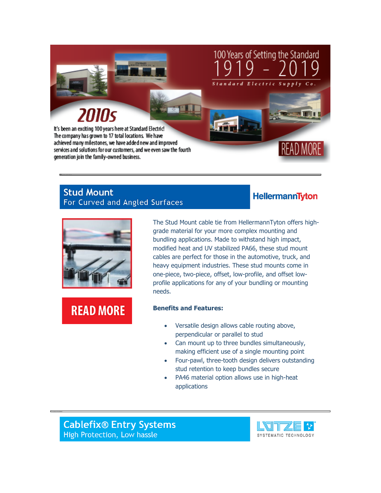

### **Stud Mount** For Curved and Angled Surfaces



**READ MORE** 

The Stud Mount cable tie from HellermannTyton offers highgrade material for your more complex mounting and bundling applications. Made to withstand high impact, modified heat and UV stabilized PA66, these stud mount cables are perfect for those in the automotive, truck, and heavy equipment industries. These stud mounts come in one-piece, two-piece, offset, low-profile, and offset lowprofile applications for any of your bundling or mounting needs.

### **Benefits and Features:**

- Versatile design allows cable routing above, perpendicular or parallel to stud
- Can mount up to three bundles simultaneously, making efficient use of a single mounting point
- Four-pawl, three-tooth design delivers outstanding stud retention to keep bundles secure
- PA46 material option allows use in high-heat applications

**Cablefix® Entry Systems** High Protection, Low hassle



**HellermannTyton**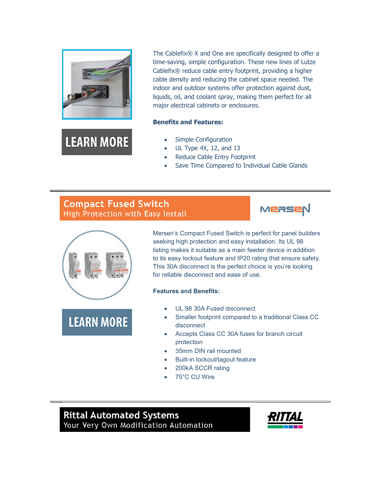

**LEARN MORE** 

The Cablefix® X and One are specifically designed to offer a time-saving, simple configuration. These new lines of Lutze Cablefix® reduce cable entry footprint, providing a higher cable density and reducing the cabinet space needed. The indoor and outdoor systems offer protection against dust, liquids, oil, and coolant spray, making them perfect for all major electrical cabinets or enclosures.

#### **Benefits and Features:**

- Simple Configuration
- UL Type 4X, 12, and 13
- Reduce Cable Entry Footprint
- Save Time Compared to Individual Cable Glands

# **Compact Fused Switch** High Protection with Easy Install





**LEARN MORE** 

Mersen's Compact Fused Switch is perfect for panel builders seeking high protection and easy installation. Its UL 98 listing makes it suitable as a main feeder device in addition to its easy lockout feature and IP20 rating that ensure safety. This 30A disconnect is the perfect choice is you're looking for reliable disconnect and ease of use.

### **Features and Benefits:**

- UL 98 30A Fused disconnect
- Smaller footprint compared to a traditional Class CC disconnect
- Accepts Class CC 30A fuses for branch circuit protection
- 35mm DIN rail mounted
- Built-in lockout/tagout feature
- 200kA SCCR rating
- 75°C CU Wire

**Rittal Automated Systems** Your Very Own Modification Automation

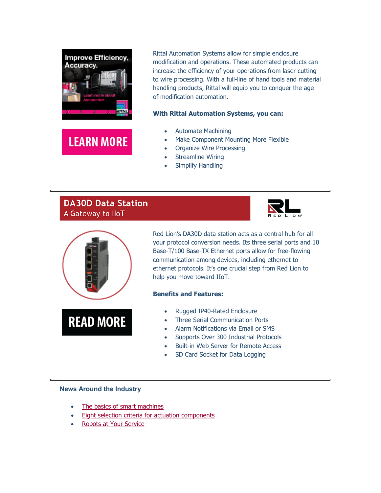

**LEARN MORE** 

modification and operations. These automated products can increase the efficiency of your operations from laser cutting to wire processing. With a full-line of hand tools and material handling products, Rittal will equip you to conquer the age of modification automation.

### **With Rittal Automation Systems, you can:**

- Automate Machining
- Make Component Mounting More Flexible

Rittal Automation Systems allow for simple enclosure

- Organize Wire Processing
- Streamline Wiring
- Simplify Handling

# **DA30D Data Station** A Gateway to IloT





**READ MORE** 

Red Lion's DA30D data station acts as a central hub for all your protocol conversion needs. Its three serial ports and 10 Base-T/100 Base-TX Ethernet ports allow for free-flowing communication among devices, including ethernet to ethernet protocols. It's one crucial step from Red Lion to help you move toward IIoT.

### **Benefits and Features:**

- Rugged IP40-Rated Enclosure
- Three Serial Communication Ports
- Alarm Notifications via Email or SMS
- Supports Over 300 Industrial Protocols
- Built-in Web Server for Remote Access
- SD Card Socket for Data Logging

### **News Around the Industry**

- [The basics of smart machines](https://info.standardelectricsupply.com/e2t/c/*W87pdsv2YgM26W9dp5CL5Xq45W0/*W7nC1b37mkV57W2-mxs96cl3Ph0/5/f18dQhb0S1Wd7B0mbNW12Nv6X2_Rx5hVk82Gr3T9WQXW58l-qB1Ddb3WW6GmgV06Hpz8NW6yB9JS67kQ1HW3M2y9v6JhFWwVp083j4qCxY2W99PKRb4TGfwKW3sqbMd6qk457W11LRBJ8cRVQ1W4G0m1P9k51LMW958tQq1Wf3HJW2hXRJn1rNMtMW6yxjRl3CCKDTW2-rDDg25lcL5W7w1-Q02BVV_8W6kTJnW6hz56zW4yqCB-65HK_TW3Gz-fg2MpqWGW7sGDsZ5L-JQhW2r-y145TzX2lVPrwCd36xhc4W47hdF45Xtms3W1D7NBV1f7RbTW8JYsfq7CgNMyW7Cwy6_2sdWxWVm3-5X4tyPk5W3sFdxj2drzgwW7_6WfC94DMgmW8HPFDq2-tdGsW3jGd7X77np9_N49M6bXl8T0xW6l159R8-x187W5MgSbv6tpKH8W3w3wwt8WW8hRW5FLN3S4JCkFJW5tJyl76J9ZKyW3bD65m1shc6sW6tJmmb5CWjCRN3qMQLTTSDZ4N3Dy6qQDXyYGW1WNCpJ5F0nXdW21FVlD1XPChDVWsNwC5vbQ78W5Hy-284C40tdVqrVMw6-Tb60W9gG1gx1PFg67W5fyFg8102V1hN8JCwxjr7GsS102)
- [Eight selection criteria for actuation components](https://info.standardelectricsupply.com/e2t/c/*W87pdsv2YgM26W9dp5CL5Xq45W0/*W5n_wd_55LF2RW6jcFtr4p6Pxn0/5/f18dQhb0S65P6tQ-9ZW12gSJw1hzZGRW4JdP7-1jPXXmW7qNpQ51DNbgbW6LvFFM3mHP79W3FfB6h8FH7k7W6Pc5Tx3P837xN313w179nRHzN81Sf8n7X2WKW1dsbb11h6RFjW53HmJ_4w8xZLW5pLKvX95hBmQW3S4Mvp9gWbr8N5vVBs0_yKNqW8Dsk661hc4QlVklsj03Cm_bMW5rsQBZ4WysMKW1MX4WB2scPJYW349lCX1WdH5pW5Cc4CN5phxBKW8ncZV2577-PhW77c7k750vVfnW4VnkwT1h7mz4W2_YWmw4HMKpVW8YJqHc2PKhpNW843pdn8TGfrbW1FzYdB4Kb457W7gBfwf6thqkrW8xnYbt6B0NzFW4kWtXT8yfG-NW1pF9XG7kYSdmW6DN4zf8QSphjVZNxXd8Ds2P1W4JZ27X2sHkVjW4VbMBZ3gnb3ZW8pHbVY323XqWW4xXmBF7P-gYbW7SVZxS1Ks4QMW4LlYDL7Nd6DbVd769W5yJmnVVhRFQp4YNlQ9W6ymdH56hht-sW5bNf2Y7H5sRKVRQ2f-19HmlPW23LFPv5D1jKGW6x4rnx7gbJYTVvnSJw4lcJFZW4kNqs71Kdt3sN9j-xyhSYx2zN92RDQ6mz_BrN6xvkrt4Pp99f6crj3604)
- [Robots at Your Service](https://info.standardelectricsupply.com/e2t/c/*W87pdsv2YgM26W9dp5CL5Xq45W0/*W706Kp05pKhsdN2BByVPyrRD00/5/f18dQhb0S4006v3gH9VWVj4m1p0FGkV4bYLz7FDKQcN87CKRM83xFfW1gMYCV24RYQbW4090n95fTlGZW5DlwbL6zC_6kVcbQvP2nhgQNN55YftfjPKnFW2yw4Jv6C8KpXW3DhnFM7hCd83W8xYcCt2WD6b0W7wt3xL86WG5sW2sHxVQ4_Nsx7W9gznM73RbGwHVM8DYP3HgsX3W8y0Zwn2V-BV0W4L7xR56FNGq_W8q0Zb36BnYZpW5_HyM51Nf_ltW4PvP2x2_03LwW68KKcp67_wvjW2d_SsK3SzJJ2W3Fv_Tg290P1vW30fmjJ2z2k3ZW8cd2mL4Hk0cYW4zkfmZ3yVVnvW69vLPP5Kc9GpW2df6Yb88cr1ZW5fNYGD41Q7NnW3FZLKZ3mbrr1W5Kc69z7ZhfvNW745yp34XSFtJVtmssN1F76JPW8H6nn-4kV0NYW7TYLMH4H8BVxW7-G1r76HHYg7W2G9d4P3R7XXHW8H4Spl2rjFNJW85rZBJ7L9-PRW53gZlG10TPqrW6S75qr8NrjzqW7k69R154X4QjW940bYC4P9pvLW6zQ8p753H9WHW28Sj_h8V79qrW7zXtr64hb4jhW3ndKhy9k564HW4GvW-G80KXPKW4dDXFl6PWfy5f41wNMj11)